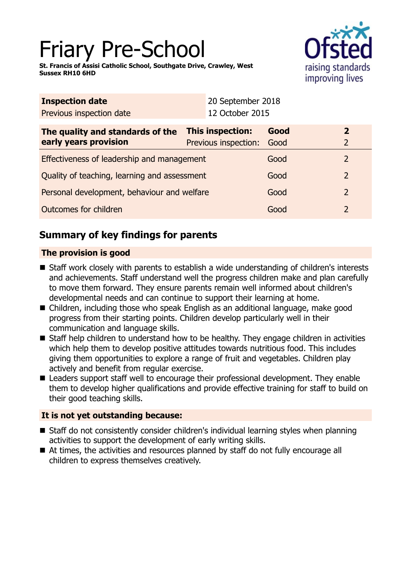# Friary Pre-School

**St. Francis of Assisi Catholic School, Southgate Drive, Crawley, West Sussex RH10 6HD**



| <b>Inspection date</b>                                    | 20 September 2018                        |              |                                  |
|-----------------------------------------------------------|------------------------------------------|--------------|----------------------------------|
| Previous inspection date                                  | 12 October 2015                          |              |                                  |
| The quality and standards of the<br>early years provision | This inspection:<br>Previous inspection: | Good<br>Good | $\overline{2}$<br>$\overline{2}$ |
| Effectiveness of leadership and management                |                                          | Good         | $\overline{2}$                   |
| Quality of teaching, learning and assessment              |                                          | Good         | $\overline{2}$                   |
| Personal development, behaviour and welfare               |                                          | Good         | $\overline{2}$                   |
| Outcomes for children                                     |                                          | Good         | 2                                |

# **Summary of key findings for parents**

# **The provision is good**

- Staff work closely with parents to establish a wide understanding of children's interests and achievements. Staff understand well the progress children make and plan carefully to move them forward. They ensure parents remain well informed about children's developmental needs and can continue to support their learning at home.
- Children, including those who speak English as an additional language, make good progress from their starting points. Children develop particularly well in their communication and language skills.
- Staff help children to understand how to be healthy. They engage children in activities which help them to develop positive attitudes towards nutritious food. This includes giving them opportunities to explore a range of fruit and vegetables. Children play actively and benefit from regular exercise.
- Leaders support staff well to encourage their professional development. They enable them to develop higher qualifications and provide effective training for staff to build on their good teaching skills.

# **It is not yet outstanding because:**

- Staff do not consistently consider children's individual learning styles when planning activities to support the development of early writing skills.
- At times, the activities and resources planned by staff do not fully encourage all children to express themselves creatively.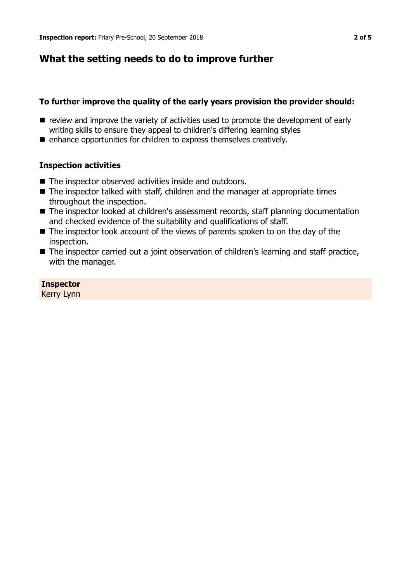# **What the setting needs to do to improve further**

## **To further improve the quality of the early years provision the provider should:**

- $\blacksquare$  review and improve the variety of activities used to promote the development of early writing skills to ensure they appeal to children's differing learning styles
- $\blacksquare$  enhance opportunities for children to express themselves creatively.

## **Inspection activities**

- The inspector observed activities inside and outdoors.
- $\blacksquare$  The inspector talked with staff, children and the manager at appropriate times throughout the inspection.
- The inspector looked at children's assessment records, staff planning documentation and checked evidence of the suitability and qualifications of staff.
- $\blacksquare$  The inspector took account of the views of parents spoken to on the day of the inspection.
- The inspector carried out a joint observation of children's learning and staff practice, with the manager.

#### **Inspector** Kerry Lynn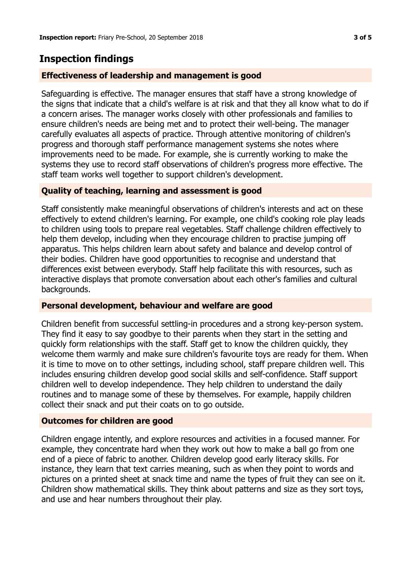# **Inspection findings**

## **Effectiveness of leadership and management is good**

Safeguarding is effective. The manager ensures that staff have a strong knowledge of the signs that indicate that a child's welfare is at risk and that they all know what to do if a concern arises. The manager works closely with other professionals and families to ensure children's needs are being met and to protect their well-being. The manager carefully evaluates all aspects of practice. Through attentive monitoring of children's progress and thorough staff performance management systems she notes where improvements need to be made. For example, she is currently working to make the systems they use to record staff observations of children's progress more effective. The staff team works well together to support children's development.

## **Quality of teaching, learning and assessment is good**

Staff consistently make meaningful observations of children's interests and act on these effectively to extend children's learning. For example, one child's cooking role play leads to children using tools to prepare real vegetables. Staff challenge children effectively to help them develop, including when they encourage children to practise jumping off apparatus. This helps children learn about safety and balance and develop control of their bodies. Children have good opportunities to recognise and understand that differences exist between everybody. Staff help facilitate this with resources, such as interactive displays that promote conversation about each other's families and cultural backgrounds.

#### **Personal development, behaviour and welfare are good**

Children benefit from successful settling-in procedures and a strong key-person system. They find it easy to say goodbye to their parents when they start in the setting and quickly form relationships with the staff. Staff get to know the children quickly, they welcome them warmly and make sure children's favourite toys are ready for them. When it is time to move on to other settings, including school, staff prepare children well. This includes ensuring children develop good social skills and self-confidence. Staff support children well to develop independence. They help children to understand the daily routines and to manage some of these by themselves. For example, happily children collect their snack and put their coats on to go outside.

#### **Outcomes for children are good**

Children engage intently, and explore resources and activities in a focused manner. For example, they concentrate hard when they work out how to make a ball go from one end of a piece of fabric to another. Children develop good early literacy skills. For instance, they learn that text carries meaning, such as when they point to words and pictures on a printed sheet at snack time and name the types of fruit they can see on it. Children show mathematical skills. They think about patterns and size as they sort toys, and use and hear numbers throughout their play.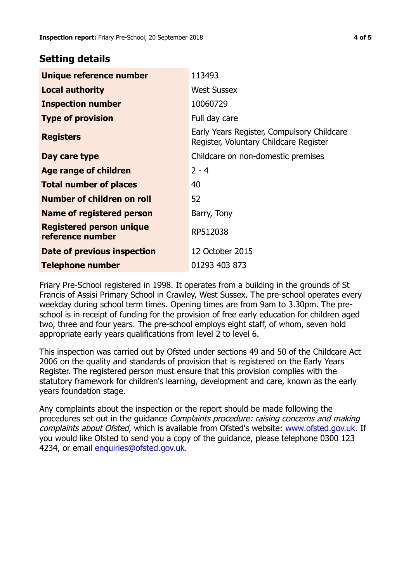# **Setting details**

| Unique reference number                             | 113493                                                                               |
|-----------------------------------------------------|--------------------------------------------------------------------------------------|
| <b>Local authority</b>                              | <b>West Sussex</b>                                                                   |
| <b>Inspection number</b>                            | 10060729                                                                             |
| <b>Type of provision</b>                            | Full day care                                                                        |
| <b>Registers</b>                                    | Early Years Register, Compulsory Childcare<br>Register, Voluntary Childcare Register |
| Day care type                                       | Childcare on non-domestic premises                                                   |
| Age range of children                               | $2 - 4$                                                                              |
| <b>Total number of places</b>                       | 40                                                                                   |
| Number of children on roll                          | 52                                                                                   |
| Name of registered person                           | Barry, Tony                                                                          |
| <b>Registered person unique</b><br>reference number | RP512038                                                                             |
| Date of previous inspection                         | 12 October 2015                                                                      |
| Telephone number                                    | 01293 403 873                                                                        |

Friary Pre-School registered in 1998. It operates from a building in the grounds of St Francis of Assisi Primary School in Crawley, West Sussex. The pre-school operates every weekday during school term times. Opening times are from 9am to 3.30pm. The preschool is in receipt of funding for the provision of free early education for children aged two, three and four years. The pre-school employs eight staff, of whom, seven hold appropriate early years qualifications from level 2 to level 6.

This inspection was carried out by Ofsted under sections 49 and 50 of the Childcare Act 2006 on the quality and standards of provision that is registered on the Early Years Register. The registered person must ensure that this provision complies with the statutory framework for children's learning, development and care, known as the early years foundation stage.

Any complaints about the inspection or the report should be made following the procedures set out in the guidance Complaints procedure: raising concerns and making complaints about Ofsted, which is available from Ofsted's website: www.ofsted.gov.uk. If you would like Ofsted to send you a copy of the guidance, please telephone 0300 123 4234, or email enquiries@ofsted.gov.uk.